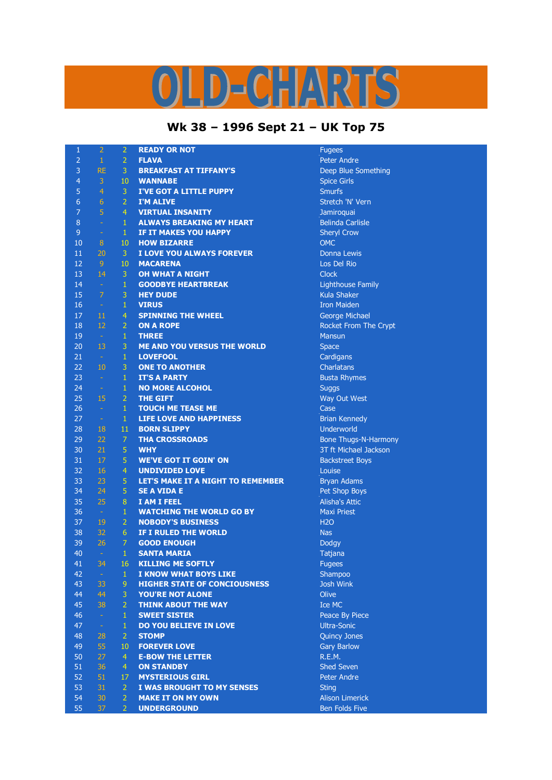## LD-CHARTS

## **Wk 38 – 1996 Sept 21 – UK Top 75**

| $\mathbf{1}$   | $\overline{2}$ | $\overline{2}$ | <b>READY OR NOT</b>                 | <b>Fugees</b>               |
|----------------|----------------|----------------|-------------------------------------|-----------------------------|
| $\overline{2}$ | $\mathbf{1}$   | $\overline{2}$ | <b>FLAVA</b>                        | <b>Peter Andre</b>          |
| 3              | <b>RE</b>      | $\mathbf{3}$   | <b>BREAKFAST AT TIFFANY'S</b>       | Deep Blue Something         |
| $\overline{4}$ | $\mathbf{3}$   | 10             | <b>WANNABE</b>                      | <b>Spice Girls</b>          |
| 5              | $\overline{4}$ | 3              | <b>I'VE GOT A LITTLE PUPPY</b>      | <b>Smurfs</b>               |
| $\overline{6}$ | 6              | $\overline{2}$ | <b>I'M ALIVE</b>                    | Stretch 'N' Vern            |
| $\overline{7}$ | $\overline{5}$ | $\overline{4}$ | <b>VIRTUAL INSANITY</b>             | Jamiroquai                  |
| 8              | $\rightarrow$  | $\mathbf{1}$   | <b>ALWAYS BREAKING MY HEART</b>     | <b>Belinda Carlisle</b>     |
| 9              | $\rightarrow$  | $\mathbf{1}$   | IF IT MAKES YOU HAPPY               | <b>Sheryl Crow</b>          |
| 10             | 8              | 10             | <b>HOW BIZARRE</b>                  | <b>OMC</b>                  |
| 11             | 20             | 3              | I LOVE YOU ALWAYS FOREVER           | Donna Lewis                 |
| 12             | 9 <sup>°</sup> | 10             | <b>MACARENA</b>                     | Los Del Rio                 |
| 13             | 14             | $\mathbf{3}$   | <b>OH WHAT A NIGHT</b>              | <b>Clock</b>                |
| 14             | $\sim$ $^{-1}$ | $\mathbf{1}$   |                                     |                             |
|                |                |                | <b>GOODBYE HEARTBREAK</b>           | Lighthouse Family           |
| 15             | $\overline{7}$ | 3              | <b>HEY DUDE</b>                     | <b>Kula Shaker</b>          |
| 16             | $\sim$ $\sim$  | $\mathbf{1}$   | <b>VIRUS</b>                        | <b>Iron Maiden</b>          |
| 17             | 11             | 4              | <b>SPINNING THE WHEEL</b>           | George Michael              |
| 18             | 12             | $\overline{2}$ | <b>ON A ROPE</b>                    | Rocket From The Crypt       |
| 19             | $\sim$ $^{-1}$ | $\mathbf{1}$   | <b>THREE</b>                        | <b>Mansun</b>               |
| 20             | 13             | $\overline{3}$ | <b>ME AND YOU VERSUS THE WORLD</b>  | Space                       |
| 21             | $\sim$ 1       | $\mathbf{1}$   | <b>LOVEFOOL</b>                     | Cardigans                   |
| 22             | 10             | 3              | <b>ONE TO ANOTHER</b>               | Charlatans                  |
| 23             | $\sim$         | $\mathbf{1}$   | <b>IT'S A PARTY</b>                 | <b>Busta Rhymes</b>         |
| 24             | $\sim$         | $\mathbf{1}$   | <b>NO MORE ALCOHOL</b>              | <b>Suggs</b>                |
| 25             | 15             | $\overline{2}$ | <b>THE GIFT</b>                     | Way Out West                |
| 26             | $\sim$         | $\mathbf{1}$   | <b>TOUCH ME TEASE ME</b>            | Case                        |
| 27             | $\sim$ $\sim$  | $\mathbf{1}$   | <b>LIFE LOVE AND HAPPINESS</b>      | <b>Brian Kennedy</b>        |
| 28             | 18             | 11             | <b>BORN SLIPPY</b>                  | Underworld                  |
| 29             | 22             | $\overline{7}$ | <b>THA CROSSROADS</b>               | <b>Bone Thugs-N-Harmony</b> |
| 30             | 21             | 5              | <b>WHY</b>                          | 3T ft Michael Jackson       |
| 31             | 17             | $\overline{5}$ | <b>WE'VE GOT IT GOIN' ON</b>        | <b>Backstreet Boys</b>      |
| 32             | 16             | 4              | <b>UNDIVIDED LOVE</b>               | Louise                      |
| 33             | 23             | 5              | LET'S MAKE IT A NIGHT TO REMEMBER   | <b>Bryan Adams</b>          |
| 34             | 24             | $\overline{5}$ | <b>SE A VIDA E</b>                  | Pet Shop Boys               |
| 35             | 25             | 8              | <b>I AM I FEEL</b>                  | <b>Alisha's Attic</b>       |
| 36             | $\sim$ $\sim$  | $1\,$          | <b>WATCHING THE WORLD GO BY</b>     | <b>Maxi Priest</b>          |
| 37             | 19             | $\overline{2}$ | <b>NOBODY'S BUSINESS</b>            | <b>H2O</b>                  |
| 38             | 32             | $6^{\circ}$    | IF I RULED THE WORLD                | <b>Nas</b>                  |
| 39             | 26             | 7              | <b>GOOD ENOUGH</b>                  | <b>Dodgy</b>                |
| 40             | $\sim$         | $\mathbf{1}$   | <b>SANTA MARIA</b>                  | Tatjana                     |
| 41             | 34             | 16             | <b>KILLING ME SOFTLY</b>            | <b>Fugees</b>               |
| 42             | $\sim$         | 1              | <b>I KNOW WHAT BOYS LIKE</b>        | Shampoo                     |
| 43             | 33             | 9              | <b>HIGHER STATE OF CONCIOUSNESS</b> | Josh Wink                   |
| 44             | 44             | 3              | <b>YOU'RE NOT ALONE</b>             | Olive                       |
| 45             | 38             | $\overline{2}$ | <b>THINK ABOUT THE WAY</b>          | Ice MC                      |
| 46             | $\sim$         | $\mathbf{1}$   | <b>SWEET SISTER</b>                 | Peace By Piece              |
| 47             | $\pm$          | $\mathbf{1}$   | DO YOU BELIEVE IN LOVE              | <b>Ultra-Sonic</b>          |
| 48             | 28             | $\mathbf{2}$   | <b>STOMP</b>                        | Quincy Jones                |
| 49             | 55             | 10             | <b>FOREVER LOVE</b>                 | <b>Gary Barlow</b>          |
| 50             | 27             | $\overline{4}$ | <b>E-BOW THE LETTER</b>             | R.E.M.                      |
| 51             | 36             | 4              | <b>ON STANDBY</b>                   | Shed Seven                  |
| 52             | 51             | 17             | <b>MYSTERIOUS GIRL</b>              | <b>Peter Andre</b>          |
| 53             | 31             | $\overline{2}$ | I WAS BROUGHT TO MY SENSES          | <b>Sting</b>                |
| 54             | 30             | $\overline{2}$ | <b>MAKE IT ON MY OWN</b>            | <b>Alison Limerick</b>      |
| 55             | 37             | $\overline{2}$ | <b>UNDERGROUND</b>                  | <b>Ben Folds Five</b>       |
|                |                |                |                                     |                             |